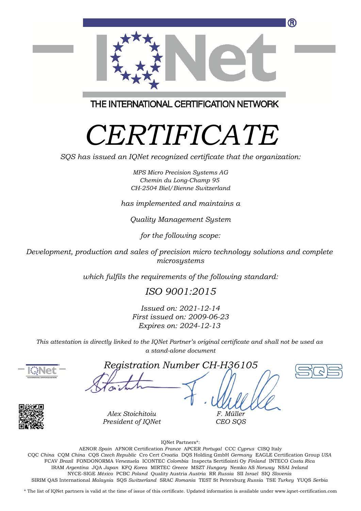

THE INTERNATIONAL CERTIFICATION NETWORK

## *CERTIFICATE*

*SQS has issued an IQNet recognized certificate that the organization:*

*MPS Micro Precision Systems AG Chemin du Long-Champ 95 CH-2504 Biel/Bienne Switzerland*

*has implemented and maintains a*

*Quality Management System*

*for the following scope:*

*Development, production and sales of precision micro technology solutions and complete microsystems*

*which fulfils the requirements of the following standard:*

## *ISO 9001:2015*

*Issued on: 2021-12-14 First issued on: 2009-06-23 Expires on: 2024-12-13*

*This attestation is directly linked to the IQNet Partner's original certificate and shall not be used as a stand-alone document*



*Registration Number CH-H36105*



*Alex Stoichitoiu*

*President of IQNet*

*F. Müller CEO SQS*

IQNet Partners\*:

This annex is only valid in connection with the above-mentioned certificate. FCAV *Brazil* FONDONORMA *Venezuela* ICONTEC *Colombia* Inspecta Sertifiointi Oy *Finland* INTECO *Costa Rica* AENOR *Spain* AFNOR Certification *France* APCER *Portugal* CCC *Cyprus* CISQ Italy CQC *China* CQM *China* CQS *Czech Republic* Cro Cert *Croatia* DQS Holding GmbH *Germany* EAGLE Certification Group *USA* IRAM *Argentina* JQA *Japan* KFQ *Korea* MIRTEC *Greece* MSZT *Hungary* Nemko AS *Norway* NSAI *Ireland* NYCE-SIGE *México* PCBC *Poland* Quality Austria *Austria* RR *Russia* SII *Israel* SIQ *Slovenia* SIRIM QAS International *Malaysia* SQS *Switzerland* SRAC *Romania* TEST St Petersburg *Russia* TSE *Turkey* YUQS *Serbia*

\* The list of IQNet partners is valid at the time of issue of this certificate. Updated information is available under www.iqnet-certification.com